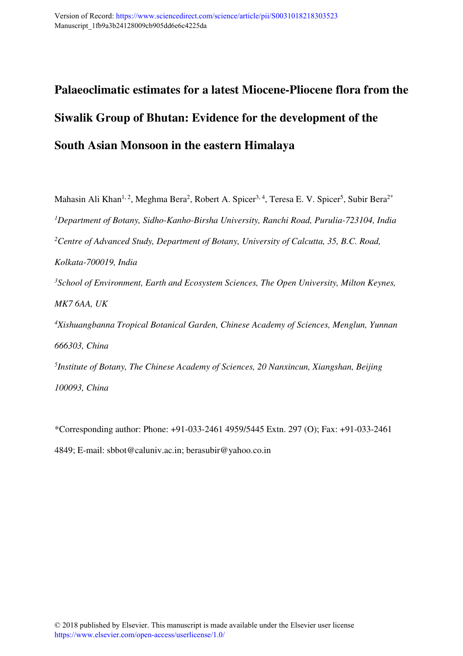# **Palaeoclimatic estimates for a latest Miocene-Pliocene flora from the Siwalik Group of Bhutan: Evidence for the development of the South Asian Monsoon in the eastern Himalaya**

Mahasin Ali Khan<sup>1, 2</sup>, Meghma Bera<sup>2</sup>, Robert A. Spicer<sup>3, 4</sup>, Teresa E. V. Spicer<sup>5</sup>, Subir Bera<sup>2\*</sup> *<sup>1</sup>Department of Botany, Sidho-Kanho-Birsha University, Ranchi Road, Purulia-723104, India <sup>2</sup>Centre of Advanced Study, Department of Botany, University of Calcutta, 35, B.C. Road, Kolkata-700019, India <sup>3</sup>School of Environment, Earth and Ecosystem Sciences, The Open University, Milton Keynes, MK7 6AA, UK <sup>4</sup>Xishuangbanna Tropical Botanical Garden, Chinese Academy of Sciences, Menglun, Yunnan 666303, China 5 Institute of Botany, The Chinese Academy of Sciences, 20 Nanxincun, Xiangshan, Beijing* 

*100093, China* 

\*Corresponding author: Phone: +91-033-2461 4959/5445 Extn. 297 (O); Fax: +91-033-2461 4849; E-mail: sbbot@caluniv.ac.in; berasubir@yahoo.co.in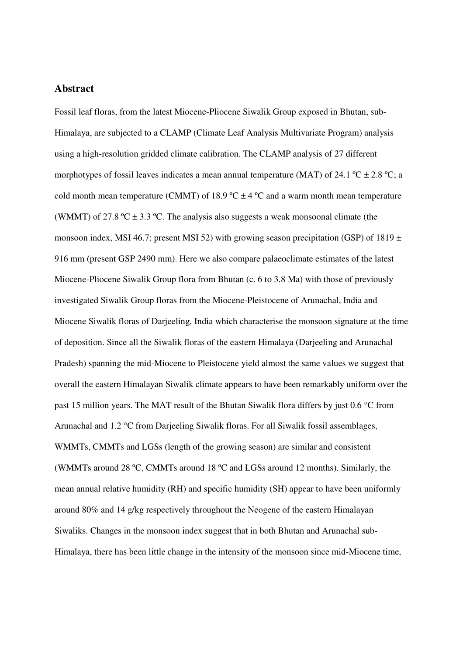#### **Abstract**

Fossil leaf floras, from the latest Miocene-Pliocene Siwalik Group exposed in Bhutan, sub-Himalaya, are subjected to a CLAMP (Climate Leaf Analysis Multivariate Program) analysis using a high-resolution gridded climate calibration. The CLAMP analysis of 27 different morphotypes of fossil leaves indicates a mean annual temperature (MAT) of 24.1  $^{\circ}$ C  $\pm$  2.8  $^{\circ}$ C; a cold month mean temperature (CMMT) of 18.9  $\textdegree$ C  $\pm$  4  $\textdegree$ C and a warm month mean temperature (WMMT) of 27.8 °C  $\pm$  3.3 °C. The analysis also suggests a weak monsoonal climate (the monsoon index, MSI 46.7; present MSI 52) with growing season precipitation (GSP) of 1819  $\pm$ 916 mm (present GSP 2490 mm). Here we also compare palaeoclimate estimates of the latest Miocene-Pliocene Siwalik Group flora from Bhutan (c. 6 to 3.8 Ma) with those of previously investigated Siwalik Group floras from the Miocene-Pleistocene of Arunachal, India and Miocene Siwalik floras of Darjeeling, India which characterise the monsoon signature at the time of deposition. Since all the Siwalik floras of the eastern Himalaya (Darjeeling and Arunachal Pradesh) spanning the mid-Miocene to Pleistocene yield almost the same values we suggest that overall the eastern Himalayan Siwalik climate appears to have been remarkably uniform over the past 15 million years. The MAT result of the Bhutan Siwalik flora differs by just 0.6 °C from Arunachal and 1.2 °C from Darjeeling Siwalik floras. For all Siwalik fossil assemblages, WMMTs, CMMTs and LGSs (length of the growing season) are similar and consistent (WMMTs around 28 ºC, CMMTs around 18 ºC and LGSs around 12 months). Similarly, the mean annual relative humidity (RH) and specific humidity (SH) appear to have been uniformly around 80% and 14 g/kg respectively throughout the Neogene of the eastern Himalayan Siwaliks. Changes in the monsoon index suggest that in both Bhutan and Arunachal sub-Himalaya, there has been little change in the intensity of the monsoon since mid-Miocene time,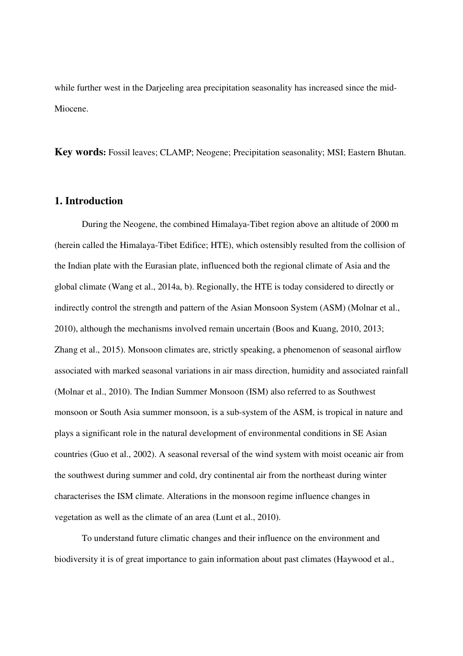while further west in the Darjeeling area precipitation seasonality has increased since the mid-Miocene.

**Key words:** Fossil leaves; CLAMP; Neogene; Precipitation seasonality; MSI; Eastern Bhutan.

#### **1. Introduction**

During the Neogene, the combined Himalaya-Tibet region above an altitude of 2000 m (herein called the Himalaya-Tibet Edifice; HTE), which ostensibly resulted from the collision of the Indian plate with the Eurasian plate, influenced both the regional climate of Asia and the global climate (Wang et al., 2014a, b). Regionally, the HTE is today considered to directly or indirectly control the strength and pattern of the Asian Monsoon System (ASM) (Molnar et al., 2010), although the mechanisms involved remain uncertain (Boos and Kuang, 2010, 2013; Zhang et al., 2015). Monsoon climates are, strictly speaking, a phenomenon of seasonal airflow associated with marked seasonal variations in air mass direction, humidity and associated rainfall (Molnar et al., 2010). The Indian Summer Monsoon (ISM) also referred to as Southwest monsoon or South Asia summer monsoon, is a sub-system of the ASM, is tropical in nature and plays a significant role in the natural development of environmental conditions in SE Asian countries (Guo et al., 2002). A seasonal reversal of the wind system with moist oceanic air from the southwest during summer and cold, dry continental air from the northeast during winter characterises the ISM climate. Alterations in the monsoon regime influence changes in vegetation as well as the climate of an area (Lunt et al., 2010).

To understand future climatic changes and their influence on the environment and biodiversity it is of great importance to gain information about past climates (Haywood et al.,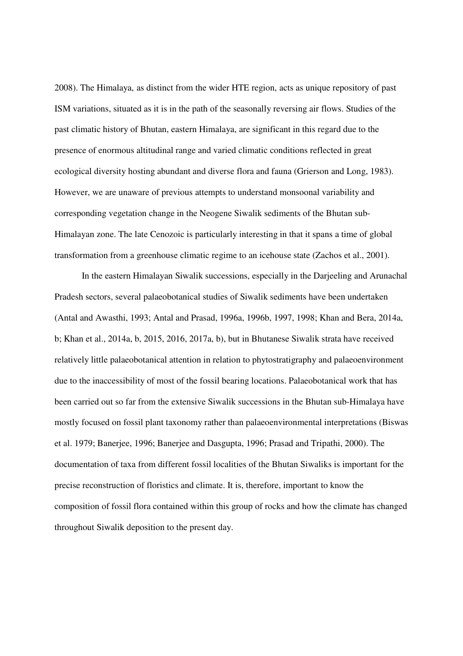2008). The Himalaya, as distinct from the wider HTE region, acts as unique repository of past ISM variations, situated as it is in the path of the seasonally reversing air flows. Studies of the past climatic history of Bhutan, eastern Himalaya, are significant in this regard due to the presence of enormous altitudinal range and varied climatic conditions reflected in great ecological diversity hosting abundant and diverse flora and fauna (Grierson and Long, 1983). However, we are unaware of previous attempts to understand monsoonal variability and corresponding vegetation change in the Neogene Siwalik sediments of the Bhutan sub-Himalayan zone. The late Cenozoic is particularly interesting in that it spans a time of global transformation from a greenhouse climatic regime to an icehouse state (Zachos et al., 2001).

In the eastern Himalayan Siwalik successions, especially in the Darjeeling and Arunachal Pradesh sectors, several palaeobotanical studies of Siwalik sediments have been undertaken (Antal and Awasthi, 1993; Antal and Prasad, 1996a, 1996b, 1997, 1998; Khan and Bera, 2014a, b; Khan et al., 2014a, b, 2015, 2016, 2017a, b), but in Bhutanese Siwalik strata have received relatively little palaeobotanical attention in relation to phytostratigraphy and palaeoenvironment due to the inaccessibility of most of the fossil bearing locations. Palaeobotanical work that has been carried out so far from the extensive Siwalik successions in the Bhutan sub-Himalaya have mostly focused on fossil plant taxonomy rather than palaeoenvironmental interpretations (Biswas et al. 1979; Banerjee, 1996; Banerjee and Dasgupta, 1996; Prasad and Tripathi, 2000). The documentation of taxa from different fossil localities of the Bhutan Siwaliks is important for the precise reconstruction of floristics and climate. It is, therefore, important to know the composition of fossil flora contained within this group of rocks and how the climate has changed throughout Siwalik deposition to the present day.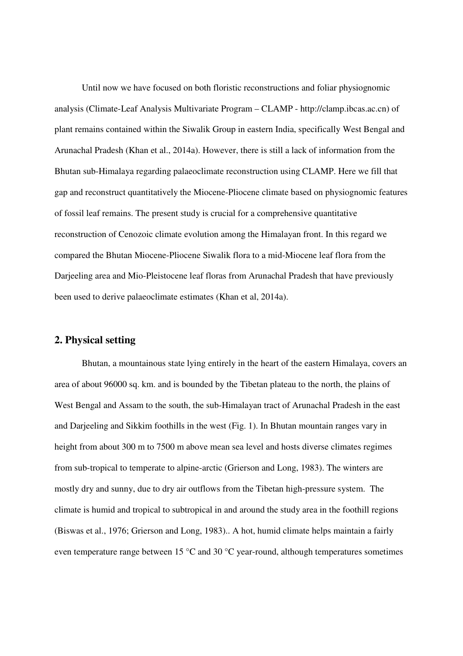Until now we have focused on both floristic reconstructions and foliar physiognomic analysis (Climate-Leaf Analysis Multivariate Program – CLAMP - http://clamp.ibcas.ac.cn) of plant remains contained within the Siwalik Group in eastern India, specifically West Bengal and Arunachal Pradesh (Khan et al., 2014a). However, there is still a lack of information from the Bhutan sub-Himalaya regarding palaeoclimate reconstruction using CLAMP. Here we fill that gap and reconstruct quantitatively the Miocene-Pliocene climate based on physiognomic features of fossil leaf remains. The present study is crucial for a comprehensive quantitative reconstruction of Cenozoic climate evolution among the Himalayan front. In this regard we compared the Bhutan Miocene-Pliocene Siwalik flora to a mid-Miocene leaf flora from the Darjeeling area and Mio-Pleistocene leaf floras from Arunachal Pradesh that have previously been used to derive palaeoclimate estimates (Khan et al, 2014a).

#### **2. Physical setting**

Bhutan, a mountainous state lying entirely in the heart of the eastern Himalaya, covers an area of about 96000 sq. km. and is bounded by the Tibetan plateau to the north, the plains of West Bengal and Assam to the south, the sub-Himalayan tract of Arunachal Pradesh in the east and Darjeeling and Sikkim foothills in the west (Fig. 1). In Bhutan mountain ranges vary in height from about 300 m to 7500 m above mean sea level and hosts diverse climates regimes from sub-tropical to temperate to alpine-arctic (Grierson and Long, 1983). The winters are mostly dry and sunny, due to dry air outflows from the Tibetan high-pressure system. The climate is humid and tropical to subtropical in and around the study area in the foothill regions (Biswas et al., 1976; Grierson and Long, 1983).. A hot, humid climate helps maintain a fairly even temperature range between 15 °C and 30 °C year-round, although temperatures sometimes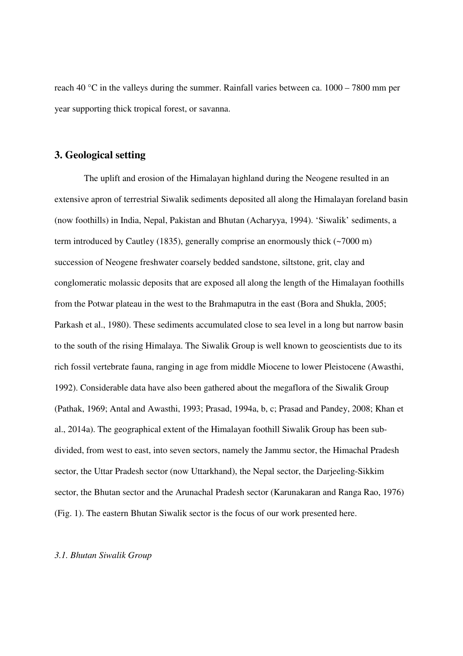reach 40 °C in the valleys during the summer. Rainfall varies between ca. 1000 – 7800 mm per year supporting thick tropical forest, or savanna.

#### **3. Geological setting**

 The uplift and erosion of the Himalayan highland during the Neogene resulted in an extensive apron of terrestrial Siwalik sediments deposited all along the Himalayan foreland basin (now foothills) in India, Nepal, Pakistan and Bhutan (Acharyya, 1994). 'Siwalik' sediments, a term introduced by Cautley (1835), generally comprise an enormously thick (~7000 m) succession of Neogene freshwater coarsely bedded sandstone, siltstone, grit, clay and conglomeratic molassic deposits that are exposed all along the length of the Himalayan foothills from the Potwar plateau in the west to the Brahmaputra in the east (Bora and Shukla, 2005; Parkash et al., 1980). These sediments accumulated close to sea level in a long but narrow basin to the south of the rising Himalaya. The Siwalik Group is well known to geoscientists due to its rich fossil vertebrate fauna, ranging in age from middle Miocene to lower Pleistocene (Awasthi, 1992). Considerable data have also been gathered about the megaflora of the Siwalik Group (Pathak, 1969; Antal and Awasthi, 1993; Prasad, 1994a, b, c; Prasad and Pandey, 2008; Khan et al., 2014a). The geographical extent of the Himalayan foothill Siwalik Group has been subdivided, from west to east, into seven sectors, namely the Jammu sector, the Himachal Pradesh sector, the Uttar Pradesh sector (now Uttarkhand), the Nepal sector, the Darjeeling-Sikkim sector, the Bhutan sector and the Arunachal Pradesh sector (Karunakaran and Ranga Rao, 1976) (Fig. 1). The eastern Bhutan Siwalik sector is the focus of our work presented here.

#### *3.1. Bhutan Siwalik Group*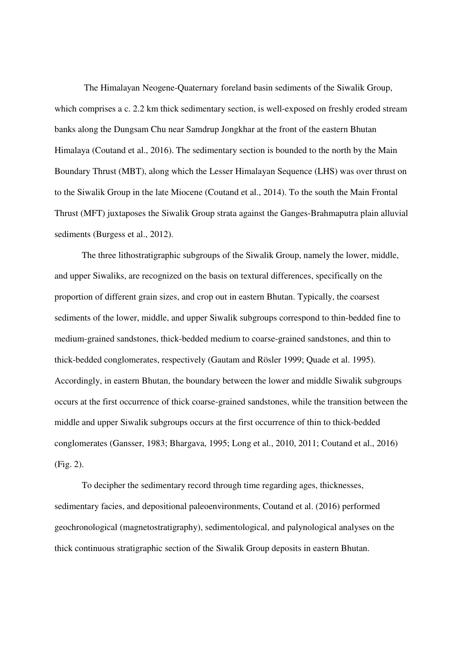The Himalayan Neogene-Quaternary foreland basin sediments of the Siwalik Group, which comprises a c. 2.2 km thick sedimentary section, is well-exposed on freshly eroded stream banks along the Dungsam Chu near Samdrup Jongkhar at the front of the eastern Bhutan Himalaya (Coutand et al., 2016). The sedimentary section is bounded to the north by the Main Boundary Thrust (MBT), along which the Lesser Himalayan Sequence (LHS) was over thrust on to the Siwalik Group in the late Miocene (Coutand et al., 2014). To the south the Main Frontal Thrust (MFT) juxtaposes the Siwalik Group strata against the Ganges-Brahmaputra plain alluvial sediments (Burgess et al., 2012).

The three lithostratigraphic subgroups of the Siwalik Group, namely the lower, middle, and upper Siwaliks, are recognized on the basis on textural differences, specifically on the proportion of different grain sizes, and crop out in eastern Bhutan. Typically, the coarsest sediments of the lower, middle, and upper Siwalik subgroups correspond to thin-bedded fine to medium-grained sandstones, thick-bedded medium to coarse-grained sandstones, and thin to thick-bedded conglomerates, respectively (Gautam and Rösler 1999; Quade et al. 1995). Accordingly, in eastern Bhutan, the boundary between the lower and middle Siwalik subgroups occurs at the first occurrence of thick coarse-grained sandstones, while the transition between the middle and upper Siwalik subgroups occurs at the first occurrence of thin to thick-bedded conglomerates (Gansser, 1983; Bhargava, 1995; Long et al., 2010, 2011; Coutand et al., 2016) (Fig. 2).

To decipher the sedimentary record through time regarding ages, thicknesses, sedimentary facies, and depositional paleoenvironments, Coutand et al. (2016) performed geochronological (magnetostratigraphy), sedimentological, and palynological analyses on the thick continuous stratigraphic section of the Siwalik Group deposits in eastern Bhutan.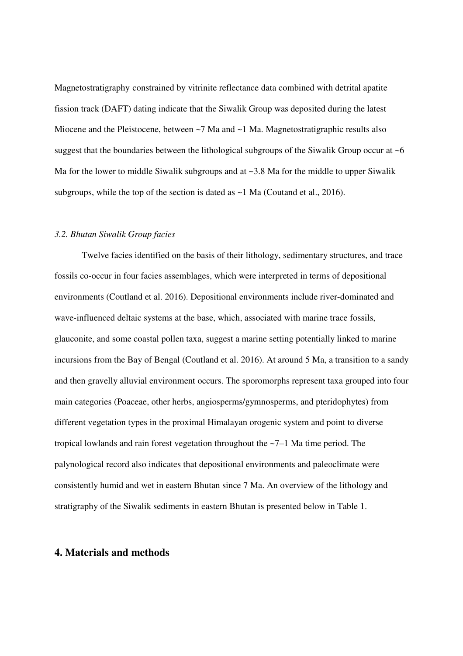Magnetostratigraphy constrained by vitrinite reflectance data combined with detrital apatite fission track (DAFT) dating indicate that the Siwalik Group was deposited during the latest Miocene and the Pleistocene, between ~7 Ma and ~1 Ma. Magnetostratigraphic results also suggest that the boundaries between the lithological subgroups of the Siwalik Group occur at  $\sim 6$ Ma for the lower to middle Siwalik subgroups and at ~3.8 Ma for the middle to upper Siwalik subgroups, while the top of the section is dated as  $\sim$ 1 Ma (Coutand et al., 2016).

#### *3.2. Bhutan Siwalik Group facies*

Twelve facies identified on the basis of their lithology, sedimentary structures, and trace fossils co-occur in four facies assemblages, which were interpreted in terms of depositional environments (Coutland et al. 2016). Depositional environments include river-dominated and wave-influenced deltaic systems at the base, which, associated with marine trace fossils, glauconite, and some coastal pollen taxa, suggest a marine setting potentially linked to marine incursions from the Bay of Bengal (Coutland et al. 2016). At around 5 Ma, a transition to a sandy and then gravelly alluvial environment occurs. The sporomorphs represent taxa grouped into four main categories (Poaceae, other herbs, angiosperms/gymnosperms, and pteridophytes) from different vegetation types in the proximal Himalayan orogenic system and point to diverse tropical lowlands and rain forest vegetation throughout the ~7–1 Ma time period. The palynological record also indicates that depositional environments and paleoclimate were consistently humid and wet in eastern Bhutan since 7 Ma. An overview of the lithology and stratigraphy of the Siwalik sediments in eastern Bhutan is presented below in Table 1.

#### **4. Materials and methods**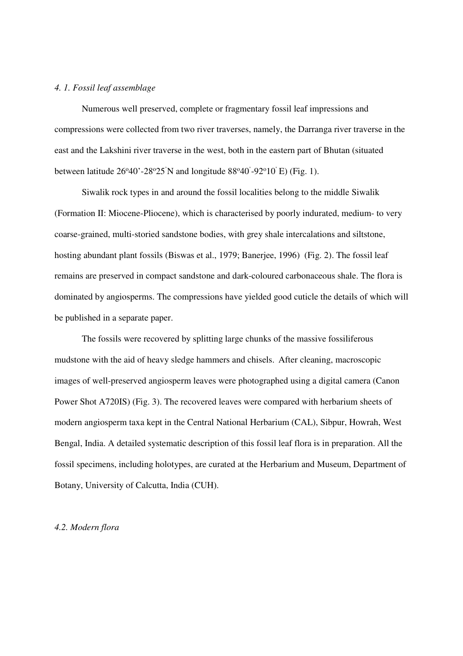#### *4. 1. Fossil leaf assemblage*

Numerous well preserved, complete or fragmentary fossil leaf impressions and compressions were collected from two river traverses, namely, the Darranga river traverse in the east and the Lakshini river traverse in the west, both in the eastern part of Bhutan (situated between latitude  $26^{\circ}40'$ -28 $25'N$  and longitude  $88^{\circ}40'$ -92 $^{\circ}10'$  E) (Fig. 1).

Siwalik rock types in and around the fossil localities belong to the middle Siwalik (Formation II: Miocene-Pliocene), which is characterised by poorly indurated, medium- to very coarse-grained, multi-storied sandstone bodies, with grey shale intercalations and siltstone, hosting abundant plant fossils (Biswas et al., 1979; Banerjee, 1996) (Fig. 2). The fossil leaf remains are preserved in compact sandstone and dark-coloured carbonaceous shale. The flora is dominated by angiosperms. The compressions have yielded good cuticle the details of which will be published in a separate paper.

The fossils were recovered by splitting large chunks of the massive fossiliferous mudstone with the aid of heavy sledge hammers and chisels. After cleaning, macroscopic images of well-preserved angiosperm leaves were photographed using a digital camera (Canon Power Shot A720IS) (Fig. 3). The recovered leaves were compared with herbarium sheets of modern angiosperm taxa kept in the Central National Herbarium (CAL), Sibpur, Howrah, West Bengal, India. A detailed systematic description of this fossil leaf flora is in preparation. All the fossil specimens, including holotypes, are curated at the Herbarium and Museum, Department of Botany, University of Calcutta, India (CUH).

#### *4.2. Modern flora*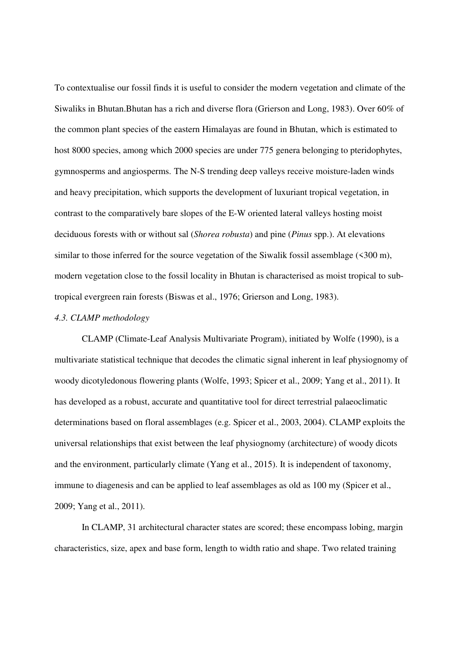To contextualise our fossil finds it is useful to consider the modern vegetation and climate of the Siwaliks in Bhutan.Bhutan has a rich and diverse flora (Grierson and Long, 1983). Over 60% of the common plant species of the eastern Himalayas are found in Bhutan, which is estimated to host 8000 species, among which 2000 species are under 775 genera belonging to pteridophytes, gymnosperms and angiosperms. The N-S trending deep valleys receive moisture-laden winds and heavy precipitation, which supports the development of luxuriant tropical vegetation, in contrast to the comparatively bare slopes of the E-W oriented lateral valleys hosting moist deciduous forests with or without sal (*Shorea robusta*) and pine (*Pinus* spp.). At elevations similar to those inferred for the source vegetation of the Siwalik fossil assemblage (<300 m), modern vegetation close to the fossil locality in Bhutan is characterised as moist tropical to subtropical evergreen rain forests (Biswas et al., 1976; Grierson and Long, 1983).

#### *4.3. CLAMP methodology*

CLAMP (Climate-Leaf Analysis Multivariate Program), initiated by Wolfe (1990), is a multivariate statistical technique that decodes the climatic signal inherent in leaf physiognomy of woody dicotyledonous flowering plants (Wolfe, 1993; Spicer et al., 2009; Yang et al., 2011). It has developed as a robust, accurate and quantitative tool for direct terrestrial palaeoclimatic determinations based on floral assemblages (e.g. Spicer et al., 2003, 2004). CLAMP exploits the universal relationships that exist between the leaf physiognomy (architecture) of woody dicots and the environment, particularly climate (Yang et al., 2015). It is independent of taxonomy, immune to diagenesis and can be applied to leaf assemblages as old as 100 my (Spicer et al., 2009; Yang et al., 2011).

In CLAMP, 31 architectural character states are scored; these encompass lobing, margin characteristics, size, apex and base form, length to width ratio and shape. Two related training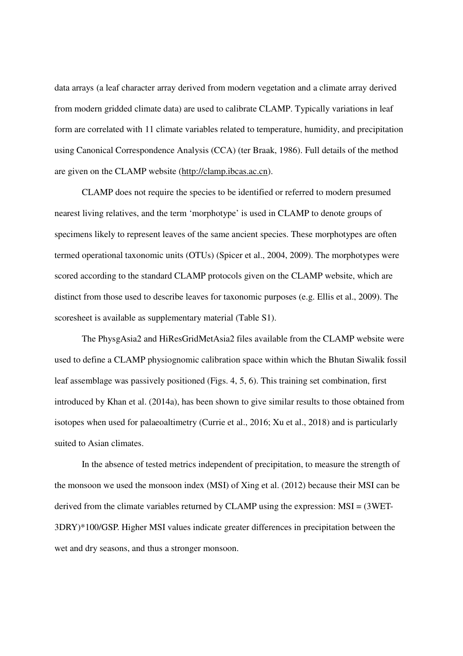data arrays (a leaf character array derived from modern vegetation and a climate array derived from modern gridded climate data) are used to calibrate CLAMP. Typically variations in leaf form are correlated with 11 climate variables related to temperature, humidity, and precipitation using Canonical Correspondence Analysis (CCA) (ter Braak, 1986). Full details of the method are given on the CLAMP website (http://clamp.ibcas.ac.cn).

CLAMP does not require the species to be identified or referred to modern presumed nearest living relatives, and the term 'morphotype' is used in CLAMP to denote groups of specimens likely to represent leaves of the same ancient species. These morphotypes are often termed operational taxonomic units (OTUs) (Spicer et al., 2004, 2009). The morphotypes were scored according to the standard CLAMP protocols given on the CLAMP website, which are distinct from those used to describe leaves for taxonomic purposes (e.g. Ellis et al., 2009). The scoresheet is available as supplementary material (Table S1).

The PhysgAsia2 and HiResGridMetAsia2 files available from the CLAMP website were used to define a CLAMP physiognomic calibration space within which the Bhutan Siwalik fossil leaf assemblage was passively positioned (Figs. 4, 5, 6). This training set combination, first introduced by Khan et al. (2014a), has been shown to give similar results to those obtained from isotopes when used for palaeoaltimetry (Currie et al., 2016; Xu et al., 2018) and is particularly suited to Asian climates.

In the absence of tested metrics independent of precipitation, to measure the strength of the monsoon we used the monsoon index (MSI) of Xing et al. (2012) because their MSI can be derived from the climate variables returned by CLAMP using the expression: MSI = (3WET-3DRY)\*100/GSP. Higher MSI values indicate greater differences in precipitation between the wet and dry seasons, and thus a stronger monsoon.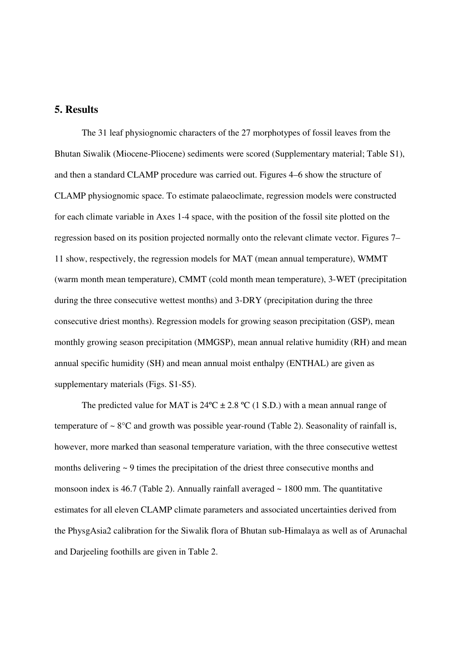## **5. Results**

The 31 leaf physiognomic characters of the 27 morphotypes of fossil leaves from the Bhutan Siwalik (Miocene-Pliocene) sediments were scored (Supplementary material; Table S1), and then a standard CLAMP procedure was carried out. Figures 4–6 show the structure of CLAMP physiognomic space. To estimate palaeoclimate, regression models were constructed for each climate variable in Axes 1-4 space, with the position of the fossil site plotted on the regression based on its position projected normally onto the relevant climate vector. Figures 7– 11 show, respectively, the regression models for MAT (mean annual temperature), WMMT (warm month mean temperature), CMMT (cold month mean temperature), 3-WET (precipitation during the three consecutive wettest months) and 3-DRY (precipitation during the three consecutive driest months). Regression models for growing season precipitation (GSP), mean monthly growing season precipitation (MMGSP), mean annual relative humidity (RH) and mean annual specific humidity (SH) and mean annual moist enthalpy (ENTHAL) are given as supplementary materials (Figs. S1-S5).

The predicted value for MAT is  $24^{\circ}C \pm 2.8^{\circ}C$  (1 S.D.) with a mean annual range of temperature of  $\sim 8^{\circ}$ C and growth was possible year-round (Table 2). Seasonality of rainfall is, however, more marked than seasonal temperature variation, with the three consecutive wettest months delivering ~ 9 times the precipitation of the driest three consecutive months and monsoon index is 46.7 (Table 2). Annually rainfall averaged  $\sim$  1800 mm. The quantitative estimates for all eleven CLAMP climate parameters and associated uncertainties derived from the PhysgAsia2 calibration for the Siwalik flora of Bhutan sub-Himalaya as well as of Arunachal and Darjeeling foothills are given in Table 2.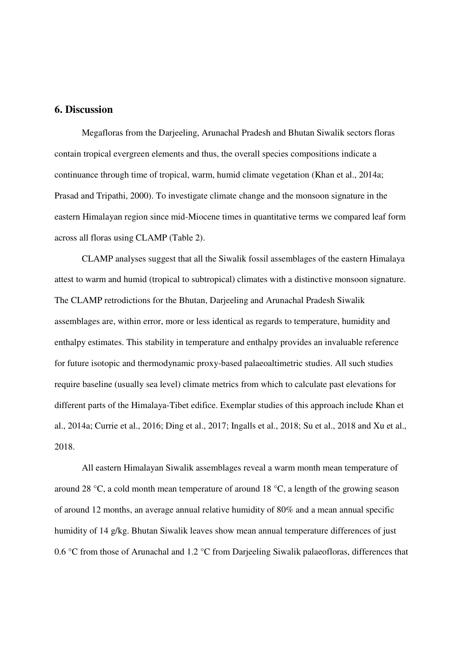## **6. Discussion**

Megafloras from the Darjeeling, Arunachal Pradesh and Bhutan Siwalik sectors floras contain tropical evergreen elements and thus, the overall species compositions indicate a continuance through time of tropical, warm, humid climate vegetation (Khan et al., 2014a; Prasad and Tripathi, 2000). To investigate climate change and the monsoon signature in the eastern Himalayan region since mid-Miocene times in quantitative terms we compared leaf form across all floras using CLAMP (Table 2).

CLAMP analyses suggest that all the Siwalik fossil assemblages of the eastern Himalaya attest to warm and humid (tropical to subtropical) climates with a distinctive monsoon signature. The CLAMP retrodictions for the Bhutan, Darjeeling and Arunachal Pradesh Siwalik assemblages are, within error, more or less identical as regards to temperature, humidity and enthalpy estimates. This stability in temperature and enthalpy provides an invaluable reference for future isotopic and thermodynamic proxy-based palaeoaltimetric studies. All such studies require baseline (usually sea level) climate metrics from which to calculate past elevations for different parts of the Himalaya-Tibet edifice. Exemplar studies of this approach include Khan et al., 2014a; Currie et al., 2016; Ding et al., 2017; Ingalls et al., 2018; Su et al., 2018 and Xu et al., 2018.

All eastern Himalayan Siwalik assemblages reveal a warm month mean temperature of around 28 °C, a cold month mean temperature of around 18 °C, a length of the growing season of around 12 months, an average annual relative humidity of 80% and a mean annual specific humidity of 14 g/kg. Bhutan Siwalik leaves show mean annual temperature differences of just 0.6 °C from those of Arunachal and 1.2 °C from Darjeeling Siwalik palaeofloras, differences that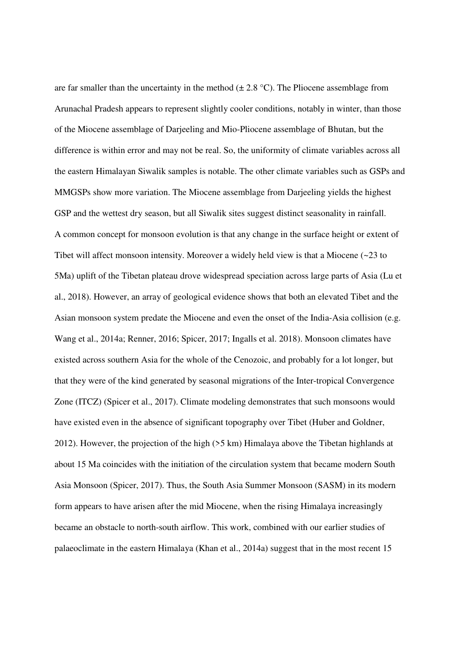are far smaller than the uncertainty in the method  $(\pm 2.8 \degree C)$ . The Pliocene assemblage from Arunachal Pradesh appears to represent slightly cooler conditions, notably in winter, than those of the Miocene assemblage of Darjeeling and Mio-Pliocene assemblage of Bhutan, but the difference is within error and may not be real. So, the uniformity of climate variables across all the eastern Himalayan Siwalik samples is notable. The other climate variables such as GSPs and MMGSPs show more variation. The Miocene assemblage from Darjeeling yields the highest GSP and the wettest dry season, but all Siwalik sites suggest distinct seasonality in rainfall. A common concept for monsoon evolution is that any change in the surface height or extent of Tibet will affect monsoon intensity. Moreover a widely held view is that a Miocene  $\left( \sim 23 \text{ to } 22 \right)$ 5Ma) uplift of the Tibetan plateau drove widespread speciation across large parts of Asia (Lu et al., 2018). However, an array of geological evidence shows that both an elevated Tibet and the Asian monsoon system predate the Miocene and even the onset of the India-Asia collision (e.g. Wang et al., 2014a; Renner, 2016; Spicer, 2017; Ingalls et al. 2018). Monsoon climates have existed across southern Asia for the whole of the Cenozoic, and probably for a lot longer, but that they were of the kind generated by seasonal migrations of the Inter-tropical Convergence Zone (ITCZ) (Spicer et al., 2017). Climate modeling demonstrates that such monsoons would have existed even in the absence of significant topography over Tibet (Huber and Goldner, 2012). However, the projection of the high (>5 km) Himalaya above the Tibetan highlands at about 15 Ma coincides with the initiation of the circulation system that became modern South Asia Monsoon (Spicer, 2017). Thus, the South Asia Summer Monsoon (SASM) in its modern form appears to have arisen after the mid Miocene, when the rising Himalaya increasingly became an obstacle to north-south airflow. This work, combined with our earlier studies of palaeoclimate in the eastern Himalaya (Khan et al., 2014a) suggest that in the most recent 15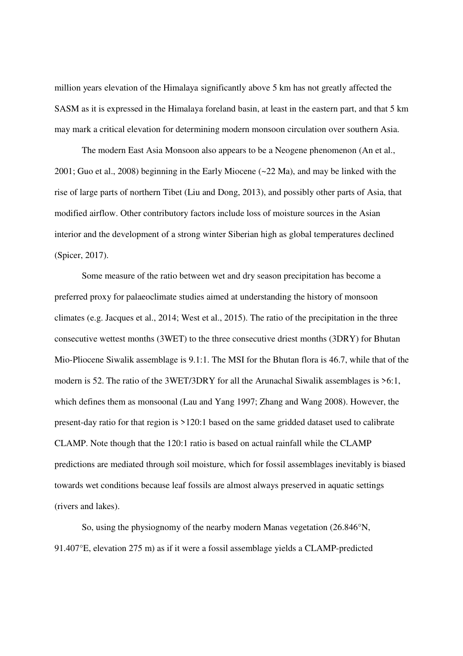million years elevation of the Himalaya significantly above 5 km has not greatly affected the SASM as it is expressed in the Himalaya foreland basin, at least in the eastern part, and that 5 km may mark a critical elevation for determining modern monsoon circulation over southern Asia.

The modern East Asia Monsoon also appears to be a Neogene phenomenon (An et al., 2001; Guo et al., 2008) beginning in the Early Miocene (~22 Ma), and may be linked with the rise of large parts of northern Tibet (Liu and Dong, 2013), and possibly other parts of Asia, that modified airflow. Other contributory factors include loss of moisture sources in the Asian interior and the development of a strong winter Siberian high as global temperatures declined (Spicer, 2017).

Some measure of the ratio between wet and dry season precipitation has become a preferred proxy for palaeoclimate studies aimed at understanding the history of monsoon climates (e.g. Jacques et al., 2014; West et al., 2015). The ratio of the precipitation in the three consecutive wettest months (3WET) to the three consecutive driest months (3DRY) for Bhutan Mio-Pliocene Siwalik assemblage is 9.1:1. The MSI for the Bhutan flora is 46.7, while that of the modern is 52. The ratio of the 3WET/3DRY for all the Arunachal Siwalik assemblages is >6:1, which defines them as monsoonal (Lau and Yang 1997; Zhang and Wang 2008). However, the present-day ratio for that region is >120:1 based on the same gridded dataset used to calibrate CLAMP. Note though that the 120:1 ratio is based on actual rainfall while the CLAMP predictions are mediated through soil moisture, which for fossil assemblages inevitably is biased towards wet conditions because leaf fossils are almost always preserved in aquatic settings (rivers and lakes).

So, using the physiognomy of the nearby modern Manas vegetation (26.846°N, 91.407°E, elevation 275 m) as if it were a fossil assemblage yields a CLAMP-predicted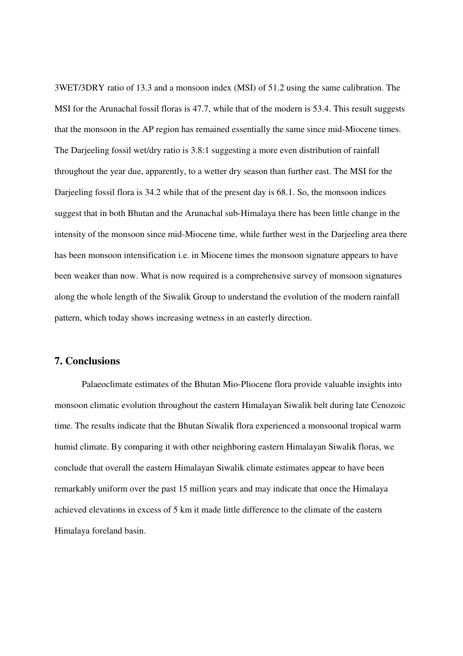3WET/3DRY ratio of 13.3 and a monsoon index (MSI) of 51.2 using the same calibration. The MSI for the Arunachal fossil floras is 47.7, while that of the modern is 53.4. This result suggests that the monsoon in the AP region has remained essentially the same since mid-Miocene times. The Darjeeling fossil wet/dry ratio is 3.8:1 suggesting a more even distribution of rainfall throughout the year due, apparently, to a wetter dry season than further east. The MSI for the Darjeeling fossil flora is 34.2 while that of the present day is 68.1. So, the monsoon indices suggest that in both Bhutan and the Arunachal sub-Himalaya there has been little change in the intensity of the monsoon since mid-Miocene time, while further west in the Darjeeling area there has been monsoon intensification i.e. in Miocene times the monsoon signature appears to have been weaker than now. What is now required is a comprehensive survey of monsoon signatures along the whole length of the Siwalik Group to understand the evolution of the modern rainfall pattern, which today shows increasing wetness in an easterly direction.

#### **7. Conclusions**

Palaeoclimate estimates of the Bhutan Mio-Pliocene flora provide valuable insights into monsoon climatic evolution throughout the eastern Himalayan Siwalik belt during late Cenozoic time. The results indicate that the Bhutan Siwalik flora experienced a monsoonal tropical warm humid climate. By comparing it with other neighboring eastern Himalayan Siwalik floras, we conclude that overall the eastern Himalayan Siwalik climate estimates appear to have been remarkably uniform over the past 15 million years and may indicate that once the Himalaya achieved elevations in excess of 5 km it made little difference to the climate of the eastern Himalaya foreland basin.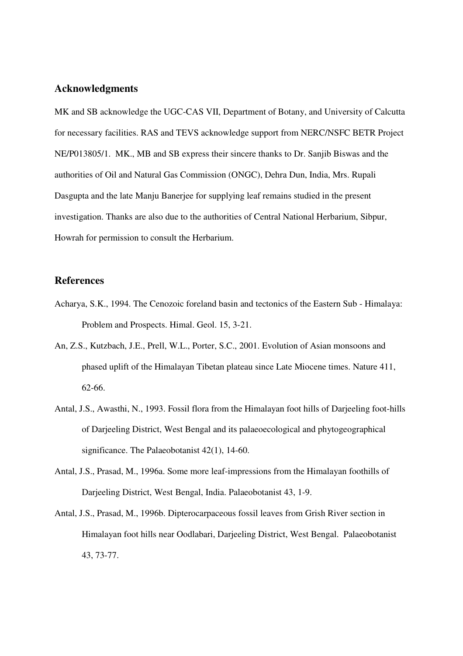#### **Acknowledgments**

MK and SB acknowledge the UGC-CAS VII, Department of Botany, and University of Calcutta for necessary facilities. RAS and TEVS acknowledge support from NERC/NSFC BETR Project NE/P013805/1. MK., MB and SB express their sincere thanks to Dr. Sanjib Biswas and the authorities of Oil and Natural Gas Commission (ONGC), Dehra Dun, India, Mrs. Rupali Dasgupta and the late Manju Banerjee for supplying leaf remains studied in the present investigation. Thanks are also due to the authorities of Central National Herbarium, Sibpur, Howrah for permission to consult the Herbarium.

#### **References**

- Acharya, S.K., 1994. The Cenozoic foreland basin and tectonics of the Eastern Sub Himalaya: Problem and Prospects. Himal. Geol. 15, 3-21.
- An, Z.S., Kutzbach, J.E., Prell, W.L., Porter, S.C., 2001. Evolution of Asian monsoons and phased uplift of the Himalayan Tibetan plateau since Late Miocene times. Nature 411, 62-66.
- Antal, J.S., Awasthi, N., 1993. Fossil flora from the Himalayan foot hills of Darjeeling foot-hills of Darjeeling District, West Bengal and its palaeoecological and phytogeographical significance. The Palaeobotanist 42(1), 14-60.
- Antal, J.S., Prasad, M., 1996a. Some more leaf-impressions from the Himalayan foothills of Darjeeling District, West Bengal, India. Palaeobotanist 43, 1-9.
- Antal, J.S., Prasad, M., 1996b. Dipterocarpaceous fossil leaves from Grish River section in Himalayan foot hills near Oodlabari, Darjeeling District, West Bengal. Palaeobotanist 43, 73-77.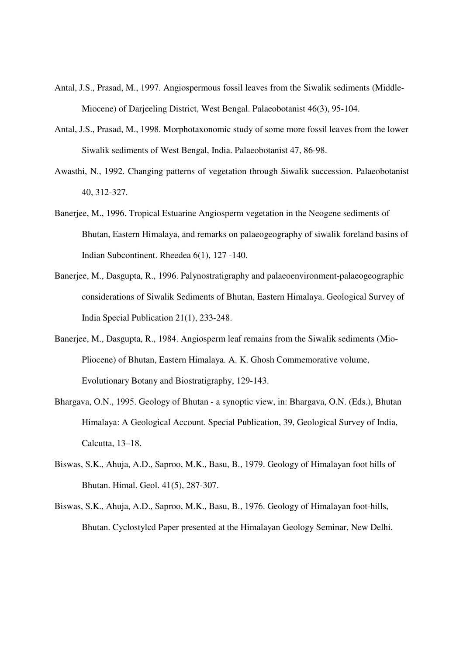- Antal, J.S., Prasad, M., 1997. Angiospermous fossil leaves from the Siwalik sediments (Middle-Miocene) of Darjeeling District, West Bengal. Palaeobotanist 46(3), 95-104.
- Antal, J.S., Prasad, M., 1998. Morphotaxonomic study of some more fossil leaves from the lower Siwalik sediments of West Bengal, India. Palaeobotanist 47, 86-98.
- Awasthi, N., 1992. Changing patterns of vegetation through Siwalik succession. Palaeobotanist 40, 312-327.
- Banerjee, M., 1996. Tropical Estuarine Angiosperm vegetation in the Neogene sediments of Bhutan, Eastern Himalaya, and remarks on palaeogeography of siwalik foreland basins of Indian Subcontinent. Rheedea 6(1), 127 -140.
- Banerjee, M., Dasgupta, R., 1996. Palynostratigraphy and palaeoenvironment-palaeogeographic considerations of Siwalik Sediments of Bhutan, Eastern Himalaya. Geological Survey of India Special Publication 21(1), 233-248.
- Banerjee, M., Dasgupta, R., 1984. Angiosperm leaf remains from the Siwalik sediments (Mio-Pliocene) of Bhutan, Eastern Himalaya. A. K. Ghosh Commemorative volume, Evolutionary Botany and Biostratigraphy, 129-143.
- Bhargava, O.N., 1995. Geology of Bhutan a synoptic view, in: Bhargava, O.N. (Eds.), Bhutan Himalaya: A Geological Account. Special Publication, 39, Geological Survey of India, Calcutta, 13–18.
- Biswas, S.K., Ahuja, A.D., Saproo, M.K., Basu, B., 1979. Geology of Himalayan foot hills of Bhutan. Himal. Geol. 41(5), 287-307.
- Biswas, S.K., Ahuja, A.D., Saproo, M.K., Basu, B., 1976. Geology of Himalayan foot-hills, Bhutan. Cyclostylcd Paper presented at the Himalayan Geology Seminar, New Delhi.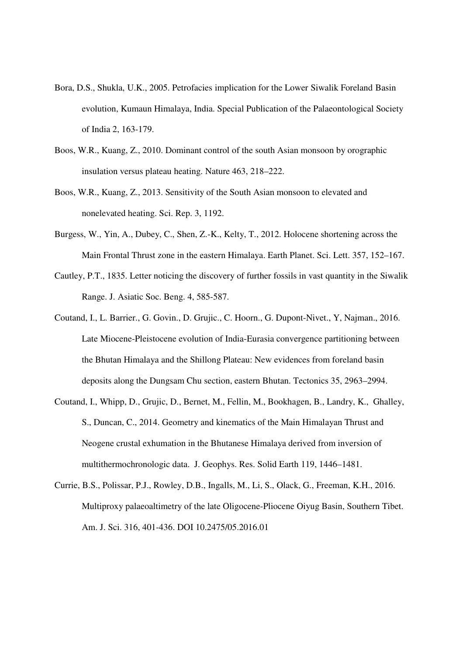- Bora, D.S., Shukla, U.K., 2005. Petrofacies implication for the Lower Siwalik Foreland Basin evolution, Kumaun Himalaya, India. Special Publication of the Palaeontological Society of India 2, 163-179.
- Boos, W.R., Kuang, Z., 2010. Dominant control of the south Asian monsoon by orographic insulation versus plateau heating. Nature 463, 218–222.
- Boos, W.R., Kuang, Z., 2013. Sensitivity of the South Asian monsoon to elevated and nonelevated heating. Sci. Rep. 3, 1192.
- Burgess, W., Yin, A., Dubey, C., Shen, Z.-K., Kelty, T., 2012. Holocene shortening across the Main Frontal Thrust zone in the eastern Himalaya. Earth Planet. Sci. Lett. 357, 152–167.
- Cautley, P.T., 1835. Letter noticing the discovery of further fossils in vast quantity in the Siwalik Range. J. Asiatic Soc. Beng. 4, 585-587.
- Coutand, I., L. Barrier., G. Govin., D. Grujic., C. Hoorn., G. Dupont-Nivet., Y, Najman., 2016. Late Miocene-Pleistocene evolution of India-Eurasia convergence partitioning between the Bhutan Himalaya and the Shillong Plateau: New evidences from foreland basin deposits along the Dungsam Chu section, eastern Bhutan. Tectonics 35, 2963–2994.
- Coutand, I., Whipp, D., Grujic, D., Bernet, M., Fellin, M., Bookhagen, B., Landry, K., Ghalley, S., Duncan, C., 2014. Geometry and kinematics of the Main Himalayan Thrust and Neogene crustal exhumation in the Bhutanese Himalaya derived from inversion of multithermochronologic data. J. Geophys. Res. Solid Earth 119, 1446–1481.
- Currie, B.S., Polissar, P.J., Rowley, D.B., Ingalls, M., Li, S., Olack, G., Freeman, K.H., 2016. Multiproxy palaeoaltimetry of the late Oligocene-Pliocene Oiyug Basin, Southern Tibet. Am. J. Sci. 316, 401-436. DOI 10.2475/05.2016.01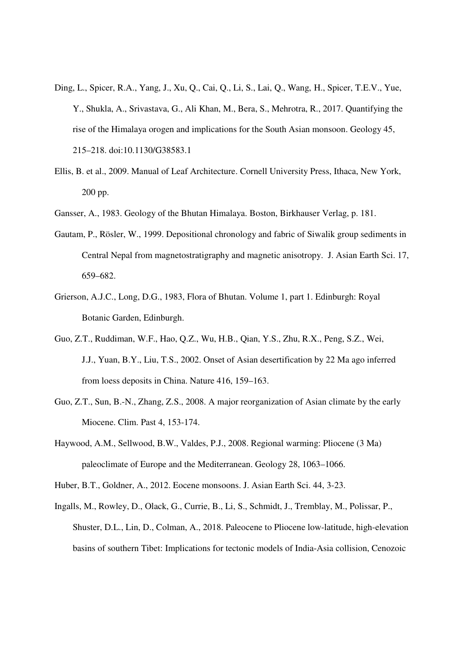- Ding, L., Spicer, R.A., Yang, J., Xu, Q., Cai, Q., Li, S., Lai, Q., Wang, H., Spicer, T.E.V., Yue, Y., Shukla, A., Srivastava, G., Ali Khan, M., Bera, S., Mehrotra, R., 2017. Quantifying the rise of the Himalaya orogen and implications for the South Asian monsoon. Geology 45, 215–218. doi:10.1130/G38583.1
- Ellis, B. et al., 2009. Manual of Leaf Architecture. Cornell University Press, Ithaca, New York, 200 pp.
- Gansser, A., 1983. Geology of the Bhutan Himalaya. Boston, Birkhauser Verlag, p. 181.
- Gautam, P., Rösler, W., 1999. Depositional chronology and fabric of Siwalik group sediments in Central Nepal from magnetostratigraphy and magnetic anisotropy. J. Asian Earth Sci. 17, 659–682.
- Grierson, A.J.C., Long, D.G., 1983, Flora of Bhutan. Volume 1, part 1. Edinburgh: Royal Botanic Garden, Edinburgh.
- Guo, Z.T., Ruddiman, W.F., Hao, Q.Z., Wu, H.B., Qian, Y.S., Zhu, R.X., Peng, S.Z., Wei, J.J., Yuan, B.Y., Liu, T.S., 2002. Onset of Asian desertification by 22 Ma ago inferred from loess deposits in China. Nature 416, 159–163.
- Guo, Z.T., Sun, B.-N., Zhang, Z.S., 2008. A major reorganization of Asian climate by the early Miocene. Clim. Past 4, 153-174.
- Haywood, A.M., Sellwood, B.W., Valdes, P.J., 2008. Regional warming: Pliocene (3 Ma) paleoclimate of Europe and the Mediterranean. Geology 28, 1063–1066.

Huber, B.T., Goldner, A., 2012. Eocene monsoons. J. Asian Earth Sci. 44, 3-23.

Ingalls, M., Rowley, D., Olack, G., Currie, B., Li, S., Schmidt, J., Tremblay, M., Polissar, P., Shuster, D.L., Lin, D., Colman, A., 2018. Paleocene to Pliocene low-latitude, high-elevation basins of southern Tibet: Implications for tectonic models of India-Asia collision, Cenozoic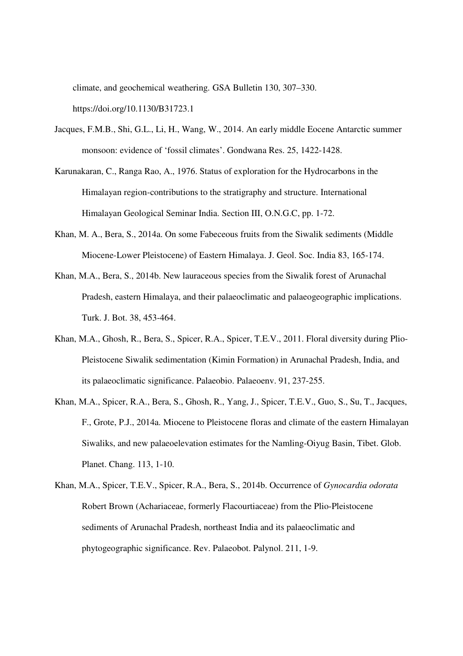climate, and geochemical weathering. GSA Bulletin 130, 307–330.

https://doi.org/10.1130/B31723.1

- Jacques, F.M.B., Shi, G.L., Li, H., Wang, W., 2014. An early middle Eocene Antarctic summer monsoon: evidence of 'fossil climates'. Gondwana Res. 25, 1422-1428.
- Karunakaran, C., Ranga Rao, A., 1976. Status of exploration for the Hydrocarbons in the Himalayan region-contributions to the stratigraphy and structure. International Himalayan Geological Seminar India. Section III, O.N.G.C, pp. 1-72.
- Khan, M. A., Bera, S., 2014a. On some Fabeceous fruits from the Siwalik sediments (Middle Miocene-Lower Pleistocene) of Eastern Himalaya. J. Geol. Soc. India 83, 165-174.
- Khan, M.A., Bera, S., 2014b. New lauraceous species from the Siwalik forest of Arunachal Pradesh, eastern Himalaya, and their palaeoclimatic and palaeogeographic implications. Turk. J. Bot. 38, 453-464.
- Khan, M.A., Ghosh, R., Bera, S., Spicer, R.A., Spicer, T.E.V., 2011. Floral diversity during Plio-Pleistocene Siwalik sedimentation (Kimin Formation) in Arunachal Pradesh, India, and its palaeoclimatic significance. Palaeobio. Palaeoenv. 91, 237-255.
- Khan, M.A., Spicer, R.A., Bera, S., Ghosh, R., Yang, J., Spicer, T.E.V., Guo, S., Su, T., Jacques, F., Grote, P.J., 2014a. Miocene to Pleistocene floras and climate of the eastern Himalayan Siwaliks, and new palaeoelevation estimates for the Namling-Oiyug Basin, Tibet. Glob. Planet. Chang. 113, 1-10.
- Khan, M.A., Spicer, T.E.V., Spicer, R.A., Bera, S., 2014b. Occurrence of *Gynocardia odorata* Robert Brown (Achariaceae, formerly Flacourtiaceae) from the Plio-Pleistocene sediments of Arunachal Pradesh, northeast India and its palaeoclimatic and phytogeographic significance. Rev. Palaeobot. Palynol. 211, 1-9.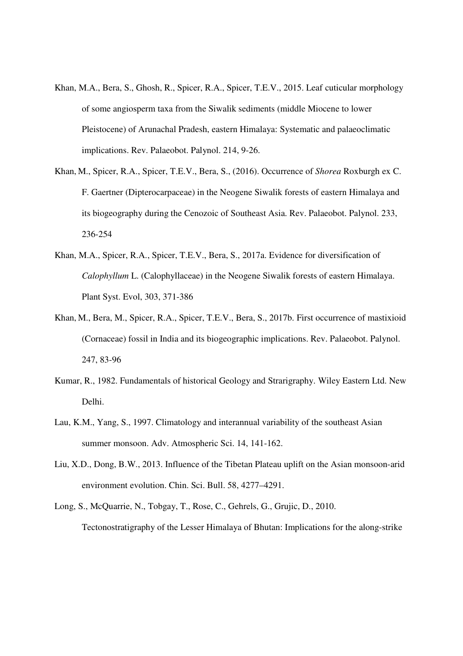- Khan, M.A., Bera, S., Ghosh, R., Spicer, R.A., Spicer, T.E.V., 2015. Leaf cuticular morphology of some angiosperm taxa from the Siwalik sediments (middle Miocene to lower Pleistocene) of Arunachal Pradesh, eastern Himalaya: Systematic and palaeoclimatic implications. Rev. Palaeobot. Palynol. 214, 9-26.
- Khan, M., Spicer, R.A., Spicer, T.E.V., Bera, S., (2016). Occurrence of *Shorea* Roxburgh ex C. F. Gaertner (Dipterocarpaceae) in the Neogene Siwalik forests of eastern Himalaya and its biogeography during the Cenozoic of Southeast Asia. Rev. Palaeobot. Palynol. 233, 236-254
- Khan, M.A., Spicer, R.A., Spicer, T.E.V., Bera, S., 2017a. Evidence for diversification of *Calophyllum* L. (Calophyllaceae) in the Neogene Siwalik forests of eastern Himalaya. Plant Syst. Evol, 303, 371-386
- Khan, M., Bera, M., Spicer, R.A., Spicer, T.E.V., Bera, S., 2017b. First occurrence of mastixioid (Cornaceae) fossil in India and its biogeographic implications. Rev. Palaeobot. Palynol. 247, 83-96
- Kumar, R., 1982. Fundamentals of historical Geology and Strarigraphy. Wiley Eastern Ltd. New Delhi.
- Lau, K.M., Yang, S., 1997. Climatology and interannual variability of the southeast Asian summer monsoon. Adv. Atmospheric Sci. 14, 141-162.
- Liu, X.D., Dong, B.W., 2013. Influence of the Tibetan Plateau uplift on the Asian monsoon-arid environment evolution. Chin. Sci. Bull. 58, 4277–4291.
- Long, S., McQuarrie, N., Tobgay, T., Rose, C., Gehrels, G., Grujic, D., 2010. Tectonostratigraphy of the Lesser Himalaya of Bhutan: Implications for the along-strike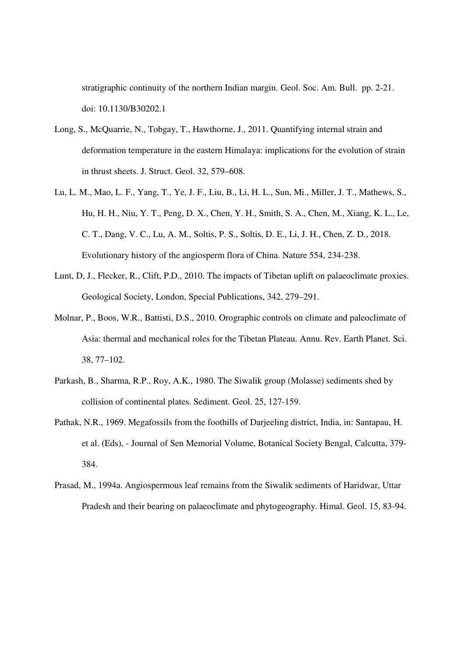stratigraphic continuity of the northern Indian margin. Geol. Soc. Am. Bull. pp. 2-21. doi: 10.1130/B30202.1

- Long, S., McQuarrie, N., Tobgay, T., Hawthorne, J., 2011. Quantifying internal strain and deformation temperature in the eastern Himalaya: implications for the evolution of strain in thrust sheets. J. Struct. Geol. 32, 579–608.
- Lu, L. M., Mao, L. F., Yang, T., Ye, J. F., Liu, B., Li, H. L., Sun, Mi., Miller, J. T., Mathews, S., Hu, H. H., Niu, Y. T., Peng, D. X., Chen, Y. H., Smith, S. A., Chen, M., Xiang, K. L., Le, C. T., Dang, V. C., Lu, A. M., Soltis, P. S., Soltis, D. E., Li, J. H., Chen, Z. D., 2018. Evolutionary history of the angiosperm flora of China. Nature 554, 234-238.
- Lunt, D, J., Flecker, R., Clift, P.D., 2010. The impacts of Tibetan uplift on palaeoclimate proxies. Geological Society, London, Special Publications, 342, 279–291.
- Molnar, P., Boos, W.R., Battisti, D.S., 2010. Orographic controls on climate and paleoclimate of Asia: thermal and mechanical roles for the Tibetan Plateau. Annu. Rev. Earth Planet. Sci. 38, 77–102.
- Parkash, B., Sharma, R.P., Roy, A.K., 1980. The Siwalik group (Molasse) sediments shed by collision of continental plates. Sediment. Geol. 25, 127-159.
- Pathak, N.R., 1969. Megafossils from the foothills of Darjeeling district, India, in: Santapau, H. et al. (Eds), - Journal of Sen Memorial Volume, Botanical Society Bengal, Calcutta, 379- 384.
- Prasad, M., 1994a. Angiospermous leaf remains from the Siwalik sediments of Haridwar, Uttar Pradesh and their bearing on palaeoclimate and phytogeography. Himal. Geol. 15, 83-94.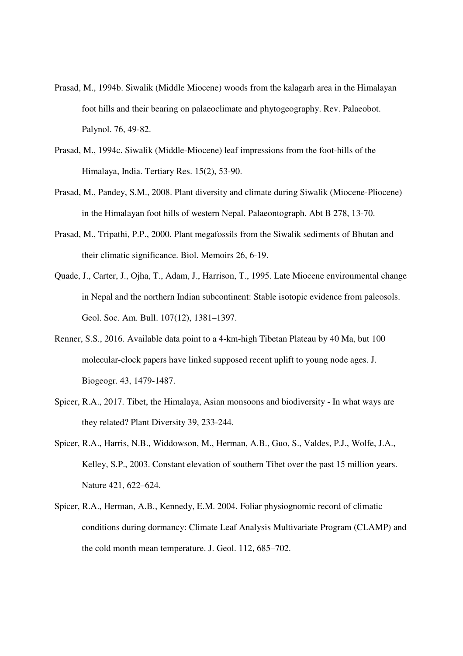- Prasad, M., 1994b. Siwalik (Middle Miocene) woods from the kalagarh area in the Himalayan foot hills and their bearing on palaeoclimate and phytogeography. Rev. Palaeobot. Palynol. 76, 49-82.
- Prasad, M., 1994c. Siwalik (Middle-Miocene) leaf impressions from the foot-hills of the Himalaya, India. Tertiary Res. 15(2), 53-90.
- Prasad, M., Pandey, S.M., 2008. Plant diversity and climate during Siwalik (Miocene-Pliocene) in the Himalayan foot hills of western Nepal. Palaeontograph. Abt B 278, 13-70.
- Prasad, M., Tripathi, P.P., 2000. Plant megafossils from the Siwalik sediments of Bhutan and their climatic significance. Biol. Memoirs 26, 6-19.
- Quade, J., Carter, J., Ojha, T., Adam, J., Harrison, T., 1995. Late Miocene environmental change in Nepal and the northern Indian subcontinent: Stable isotopic evidence from paleosols. Geol. Soc. Am. Bull. 107(12), 1381–1397.
- Renner, S.S., 2016. Available data point to a 4-km-high Tibetan Plateau by 40 Ma, but 100 molecular-clock papers have linked supposed recent uplift to young node ages. J. Biogeogr. 43, 1479-1487.
- Spicer, R.A., 2017. Tibet, the Himalaya, Asian monsoons and biodiversity In what ways are they related? Plant Diversity 39, 233-244.
- Spicer, R.A., Harris, N.B., Widdowson, M., Herman, A.B., Guo, S., Valdes, P.J., Wolfe, J.A., Kelley, S.P., 2003. Constant elevation of southern Tibet over the past 15 million years. Nature 421, 622–624.
- Spicer, R.A., Herman, A.B., Kennedy, E.M. 2004. Foliar physiognomic record of climatic conditions during dormancy: Climate Leaf Analysis Multivariate Program (CLAMP) and the cold month mean temperature. J. Geol. 112, 685–702.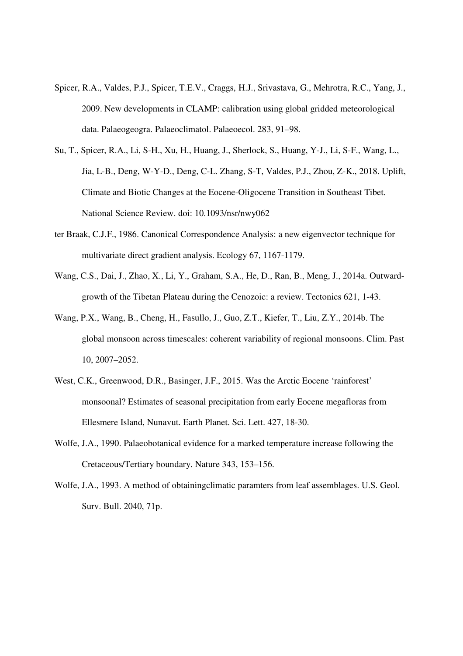- Spicer, R.A., Valdes, P.J., Spicer, T.E.V., Craggs, H.J., Srivastava, G., Mehrotra, R.C., Yang, J., 2009. New developments in CLAMP: calibration using global gridded meteorological data. Palaeogeogra. Palaeoclimatol. Palaeoecol. 283, 91–98.
- Su, T., Spicer, R.A., Li, S-H., Xu, H., Huang, J., Sherlock, S., Huang, Y-J., Li, S-F., Wang, L., Jia, L-B., Deng, W-Y-D., Deng, C-L. Zhang, S-T, Valdes, P.J., Zhou, Z-K., 2018. Uplift, Climate and Biotic Changes at the Eocene-Oligocene Transition in Southeast Tibet. National Science Review. doi: 10.1093/nsr/nwy062
- ter Braak, C.J.F., 1986. Canonical Correspondence Analysis: a new eigenvector technique for multivariate direct gradient analysis. Ecology 67, 1167-1179.
- Wang, C.S., Dai, J., Zhao, X., Li, Y., Graham, S.A., He, D., Ran, B., Meng, J., 2014a. Outwardgrowth of the Tibetan Plateau during the Cenozoic: a review. Tectonics 621, 1-43.
- Wang, P.X., Wang, B., Cheng, H., Fasullo, J., Guo, Z.T., Kiefer, T., Liu, Z.Y., 2014b. The global monsoon across timescales: coherent variability of regional monsoons. Clim. Past 10, 2007–2052.
- West, C.K., Greenwood, D.R., Basinger, J.F., 2015. Was the Arctic Eocene 'rainforest' monsoonal? Estimates of seasonal precipitation from early Eocene megafloras from Ellesmere Island, Nunavut. Earth Planet. Sci. Lett. 427, 18-30.
- Wolfe, J.A., 1990. Palaeobotanical evidence for a marked temperature increase following the Cretaceous/Tertiary boundary. Nature 343, 153–156.
- Wolfe, J.A., 1993. A method of obtainingclimatic paramters from leaf assemblages. U.S. Geol. Surv. Bull. 2040, 71p.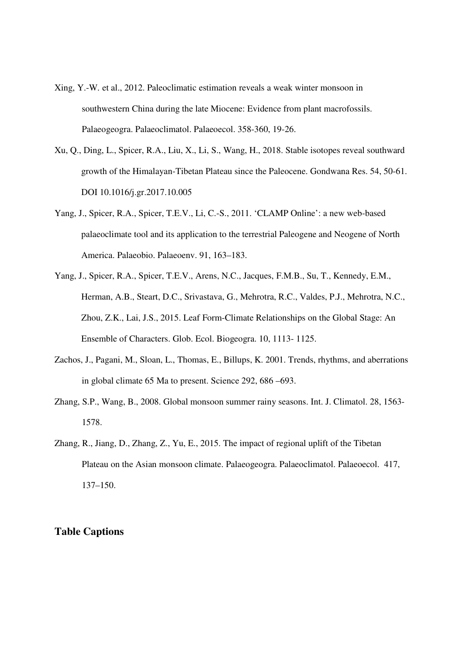- Xing, Y.-W. et al., 2012. Paleoclimatic estimation reveals a weak winter monsoon in southwestern China during the late Miocene: Evidence from plant macrofossils. Palaeogeogra. Palaeoclimatol. Palaeoecol. 358-360, 19-26.
- Xu, Q., Ding, L., Spicer, R.A., Liu, X., Li, S., Wang, H., 2018. Stable isotopes reveal southward growth of the Himalayan-Tibetan Plateau since the Paleocene. Gondwana Res. 54, 50-61. DOI 10.1016/j.gr.2017.10.005
- Yang, J., Spicer, R.A., Spicer, T.E.V., Li, C.-S., 2011. 'CLAMP Online': a new web-based palaeoclimate tool and its application to the terrestrial Paleogene and Neogene of North America. Palaeobio. Palaeoenv. 91, 163–183.
- Yang, J., Spicer, R.A., Spicer, T.E.V., Arens, N.C., Jacques, F.M.B., Su, T., Kennedy, E.M., Herman, A.B., Steart, D.C., Srivastava, G., Mehrotra, R.C., Valdes, P.J., Mehrotra, N.C., Zhou, Z.K., Lai, J.S., 2015. Leaf Form-Climate Relationships on the Global Stage: An Ensemble of Characters. Glob. Ecol. Biogeogra. 10, 1113- 1125.
- Zachos, J., Pagani, M., Sloan, L., Thomas, E., Billups, K. 2001. Trends, rhythms, and aberrations in global climate 65 Ma to present. Science 292, 686 –693.
- Zhang, S.P., Wang, B., 2008. Global monsoon summer rainy seasons. Int. J. Climatol. 28, 1563- 1578.
- Zhang, R., Jiang, D., Zhang, Z., Yu, E., 2015. The impact of regional uplift of the Tibetan Plateau on the Asian monsoon climate. Palaeogeogra. Palaeoclimatol. Palaeoecol. 417, 137–150.

## **Table Captions**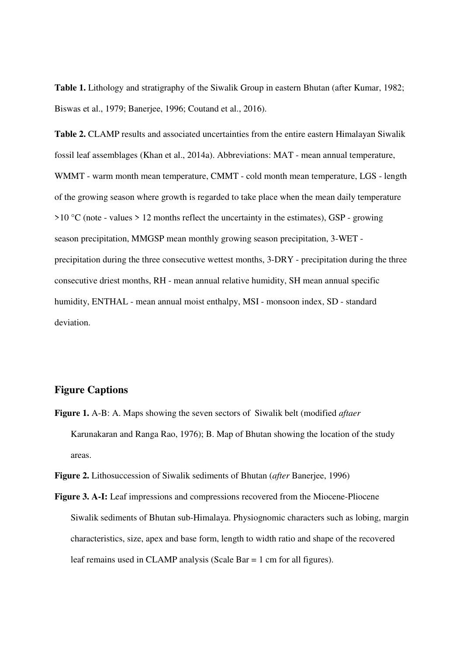**Table 1.** Lithology and stratigraphy of the Siwalik Group in eastern Bhutan (after Kumar, 1982; Biswas et al., 1979; Banerjee, 1996; Coutand et al., 2016).

**Table 2.** CLAMP results and associated uncertainties from the entire eastern Himalayan Siwalik fossil leaf assemblages (Khan et al., 2014a). Abbreviations: MAT - mean annual temperature, WMMT - warm month mean temperature, CMMT - cold month mean temperature, LGS - length of the growing season where growth is regarded to take place when the mean daily temperature  $>10$  °C (note - values  $> 12$  months reflect the uncertainty in the estimates), GSP - growing season precipitation, MMGSP mean monthly growing season precipitation, 3-WET precipitation during the three consecutive wettest months, 3-DRY - precipitation during the three consecutive driest months, RH - mean annual relative humidity, SH mean annual specific humidity, ENTHAL - mean annual moist enthalpy, MSI - monsoon index, SD - standard deviation.

#### **Figure Captions**

**Figure 1.** A-B: A. Maps showing the seven sectors of Siwalik belt (modified *aftaer* Karunakaran and Ranga Rao, 1976); B. Map of Bhutan showing the location of the study areas.

**Figure 2.** Lithosuccession of Siwalik sediments of Bhutan (*after* Banerjee, 1996)

**Figure 3. A-I:** Leaf impressions and compressions recovered from the Miocene-Pliocene Siwalik sediments of Bhutan sub-Himalaya. Physiognomic characters such as lobing, margin characteristics, size, apex and base form, length to width ratio and shape of the recovered leaf remains used in CLAMP analysis (Scale Bar = 1 cm for all figures).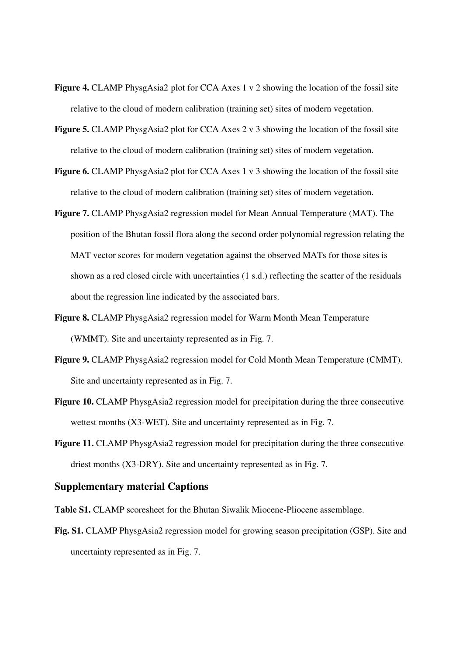- **Figure 4.** CLAMP PhysgAsia2 plot for CCA Axes 1 v 2 showing the location of the fossil site relative to the cloud of modern calibration (training set) sites of modern vegetation.
- **Figure 5.** CLAMP PhysgAsia2 plot for CCA Axes 2 v 3 showing the location of the fossil site relative to the cloud of modern calibration (training set) sites of modern vegetation.
- **Figure 6.** CLAMP PhysgAsia2 plot for CCA Axes 1 v 3 showing the location of the fossil site relative to the cloud of modern calibration (training set) sites of modern vegetation.
- **Figure 7.** CLAMP PhysgAsia2 regression model for Mean Annual Temperature (MAT). The position of the Bhutan fossil flora along the second order polynomial regression relating the MAT vector scores for modern vegetation against the observed MATs for those sites is shown as a red closed circle with uncertainties (1 s.d.) reflecting the scatter of the residuals about the regression line indicated by the associated bars.
- **Figure 8.** CLAMP PhysgAsia2 regression model for Warm Month Mean Temperature (WMMT). Site and uncertainty represented as in Fig. 7.
- **Figure 9.** CLAMP PhysgAsia2 regression model for Cold Month Mean Temperature (CMMT). Site and uncertainty represented as in Fig. 7.
- Figure 10. CLAMP PhysgAsia2 regression model for precipitation during the three consecutive wettest months (X3-WET). Site and uncertainty represented as in Fig. 7.
- Figure 11. CLAMP PhysgAsia2 regression model for precipitation during the three consecutive driest months (X3-DRY). Site and uncertainty represented as in Fig. 7.

#### **Supplementary material Captions**

**Table S1.** CLAMP scoresheet for the Bhutan Siwalik Miocene-Pliocene assemblage.

**Fig. S1.** CLAMP PhysgAsia2 regression model for growing season precipitation (GSP). Site and uncertainty represented as in Fig. 7.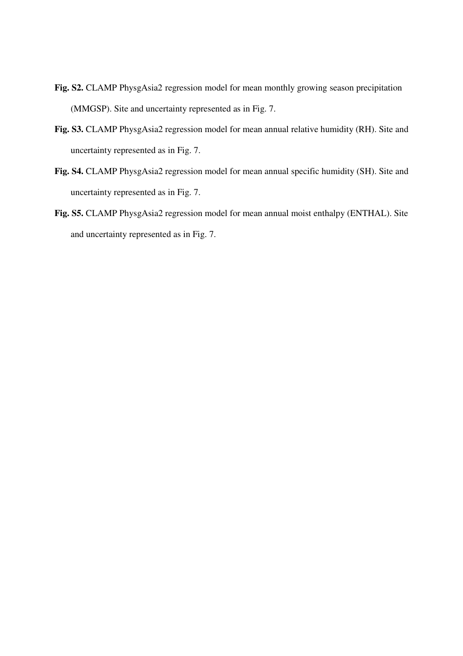- **Fig. S2.** CLAMP PhysgAsia2 regression model for mean monthly growing season precipitation (MMGSP). Site and uncertainty represented as in Fig. 7.
- **Fig. S3.** CLAMP PhysgAsia2 regression model for mean annual relative humidity (RH). Site and uncertainty represented as in Fig. 7.
- **Fig. S4.** CLAMP PhysgAsia2 regression model for mean annual specific humidity (SH). Site and uncertainty represented as in Fig. 7.
- **Fig. S5.** CLAMP PhysgAsia2 regression model for mean annual moist enthalpy (ENTHAL). Site and uncertainty represented as in Fig. 7.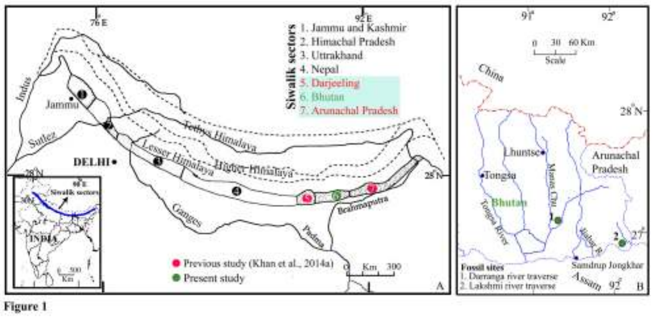

Figure 1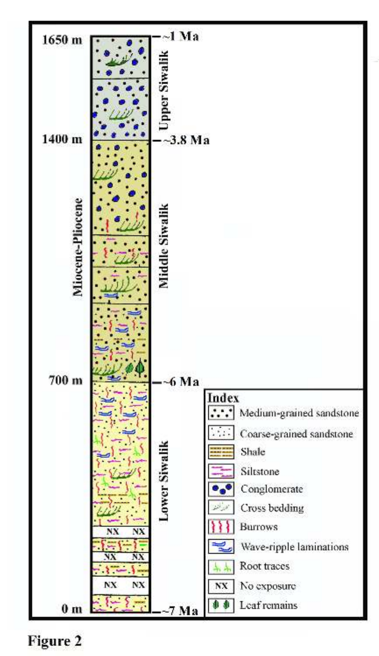

**Figure 2**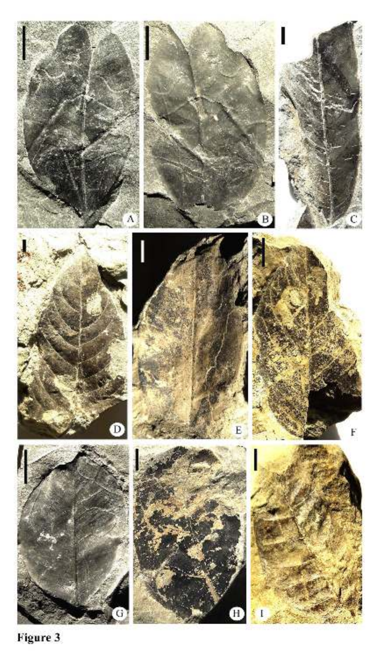

Figure 3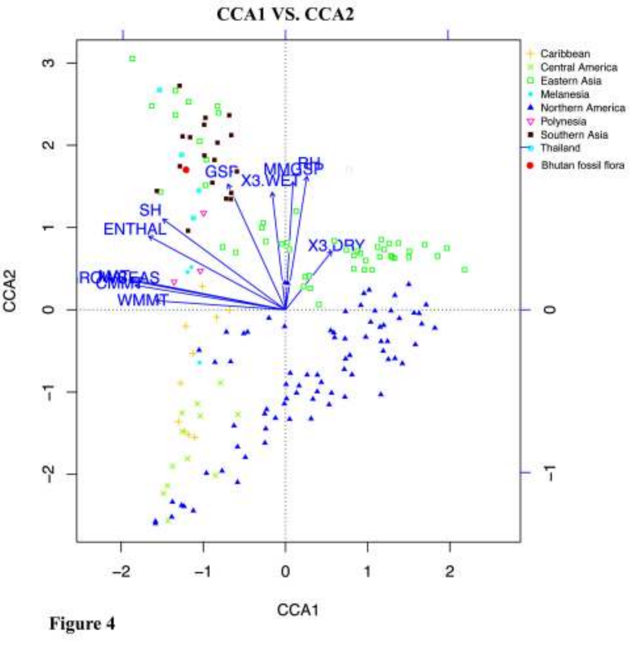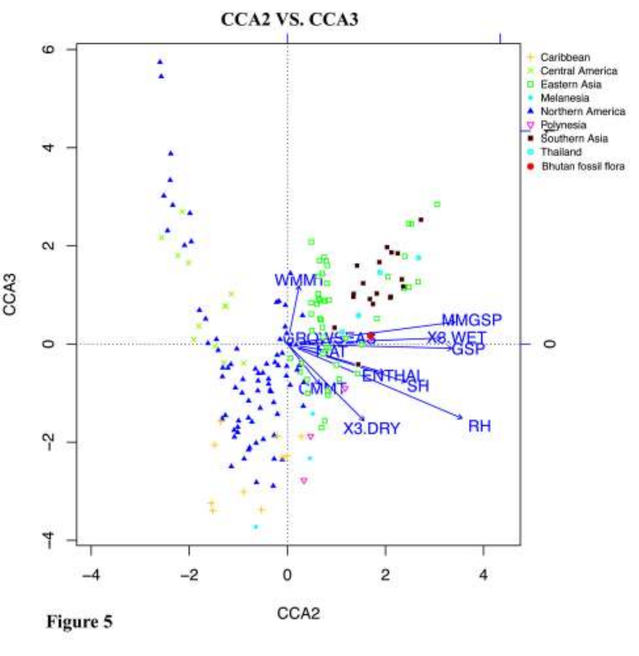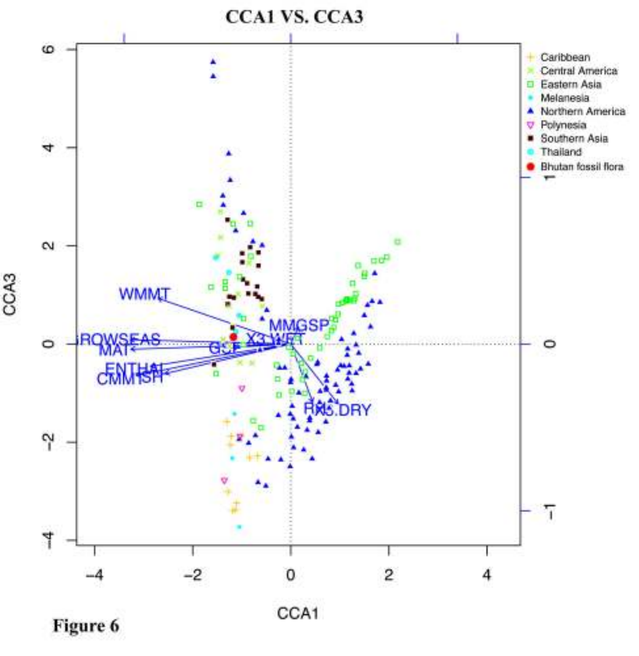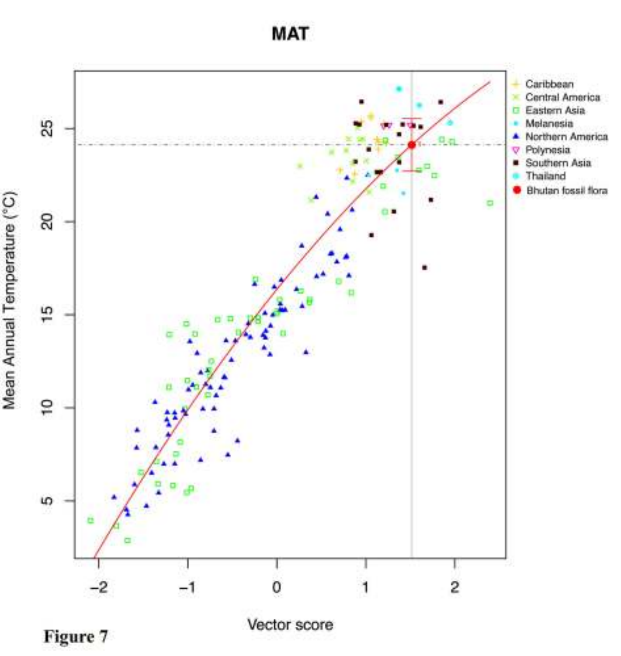**MAT** 



Figure 7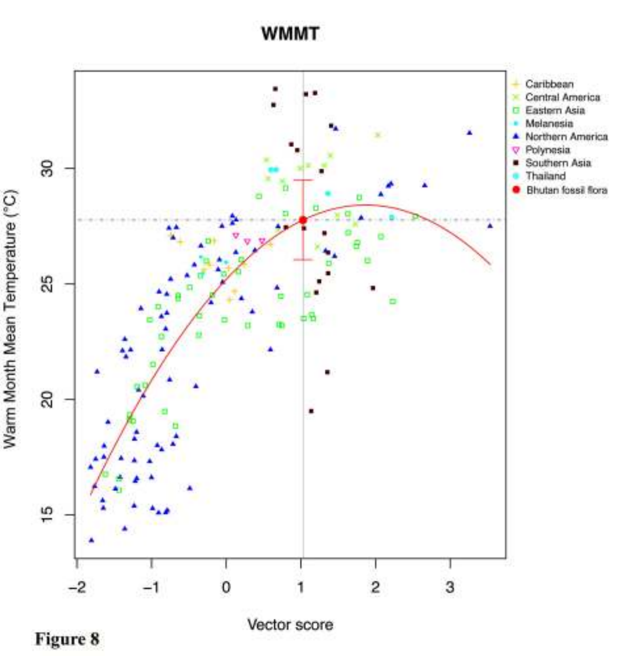#### **WMMT**



Figure 8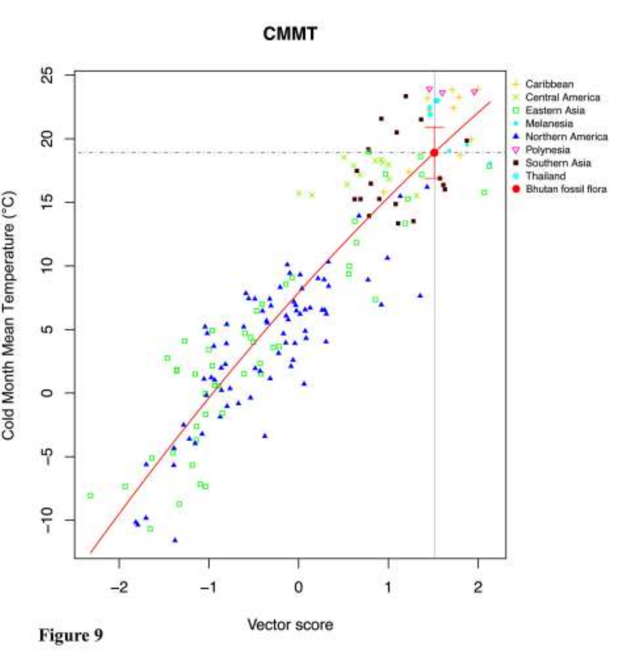**CMMT** 



Figure 9

Vector score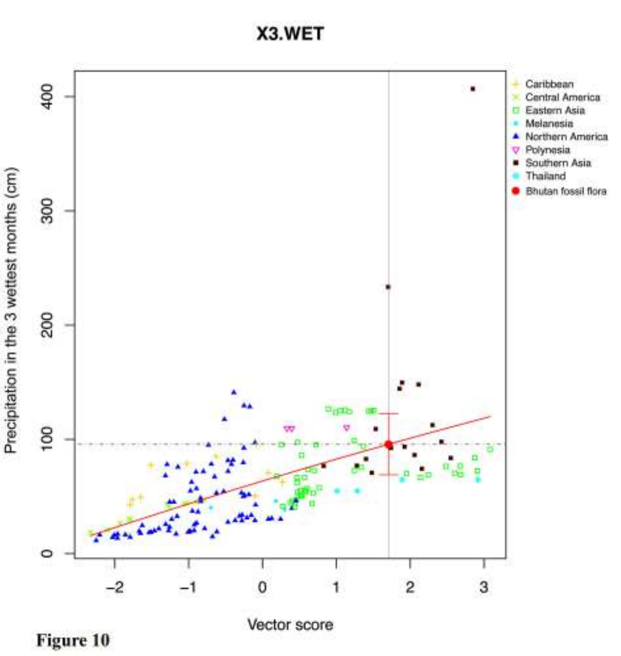#### X3.WET



Figure 10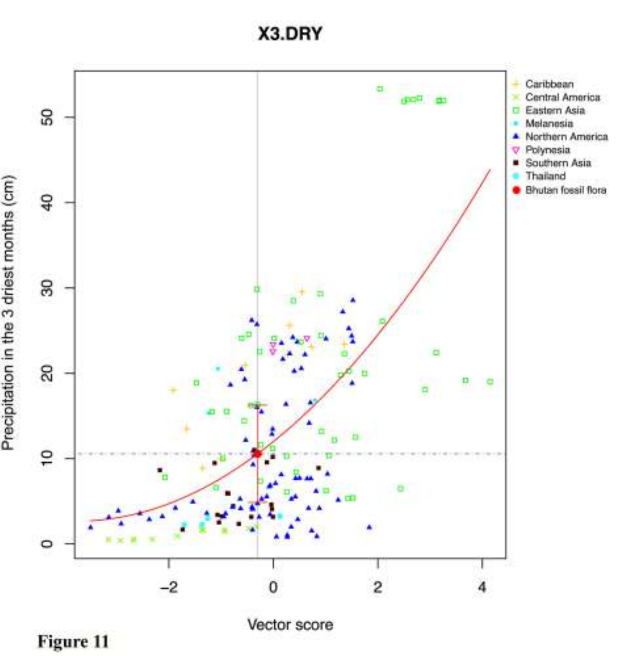X3.DRY



Vector score

Figure 11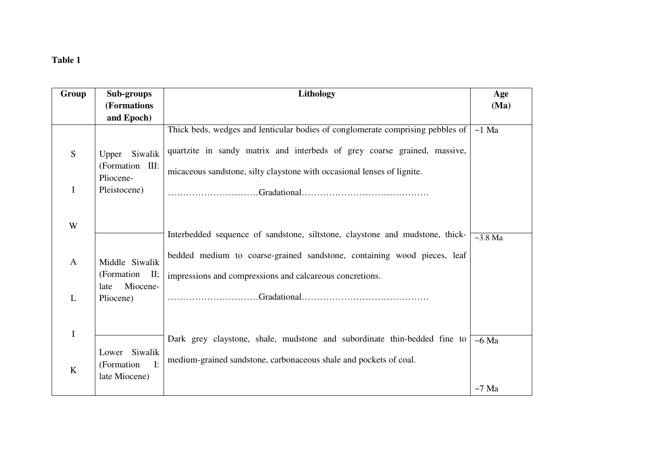# **Table 1**

| Group        | Sub-groups                                                     | Lithology                                                                                                                                                                                                                             | Age           |
|--------------|----------------------------------------------------------------|---------------------------------------------------------------------------------------------------------------------------------------------------------------------------------------------------------------------------------------|---------------|
|              | (Formations                                                    |                                                                                                                                                                                                                                       | (Ma)          |
|              | and Epoch)                                                     |                                                                                                                                                                                                                                       |               |
| S            | Siwalik<br>Upper<br>(Formation III:<br>Pliocene-               | Thick beds, wedges and lenticular bodies of conglomerate comprising pebbles of<br>quartzite in sandy matrix and interbeds of grey coarse grained, massive,<br>micaceous sandstone, silty claystone with occasional lenses of lignite. | $~1$ Ma       |
| $\mathbf I$  | Pleistocene)                                                   |                                                                                                                                                                                                                                       |               |
| W            |                                                                | Interbedded sequence of sandstone, siltstone, claystone and mudstone, thick-                                                                                                                                                          | $\sim$ 3.8 Ma |
| $\mathbf{A}$ | Middle Siwalik<br>(Formation<br>$II$ ;                         | bedded medium to coarse-grained sandstone, containing wood pieces, leaf<br>impressions and compressions and calcareous concretions.                                                                                                   |               |
| L            | Miocene-<br>late<br>Pliocene)                                  |                                                                                                                                                                                                                                       |               |
| $\mathbf I$  |                                                                | Dark grey claystone, shale, mudstone and subordinate thin-bedded fine to                                                                                                                                                              | $~5$ Ma       |
| $\bf K$      | Lower Siwalik<br>$\mathbf{I}$ :<br>(Formation<br>late Miocene) | medium-grained sandstone, carbonaceous shale and pockets of coal.                                                                                                                                                                     |               |
|              |                                                                |                                                                                                                                                                                                                                       | $~1$ Ma       |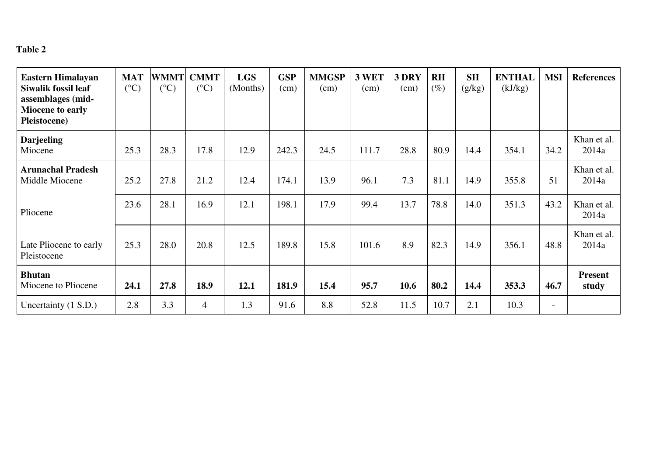## **Table 2**

| <b>Eastern Himalayan</b><br>Siwalik fossil leaf<br>assemblages (mid-<br><b>Miocene to early</b><br>Pleistocene) | <b>MAT</b><br>$(^{\circ}C)$ | <b>WMMT</b><br>$({}^{\circ}C)$ | <b>CMMT</b><br>$({}^{\circ}C)$ | <b>LGS</b><br>(Months) | <b>GSP</b><br>(cm) | <b>MMGSP</b><br>(cm) | 3 WET<br>(cm) | 3 DRY<br>(cm) | <b>RH</b><br>$(\%)$ | <b>SH</b><br>(g/kg) | <b>ENTHAL</b><br>(kJ/kg) | <b>MSI</b>               | <b>References</b>       |
|-----------------------------------------------------------------------------------------------------------------|-----------------------------|--------------------------------|--------------------------------|------------------------|--------------------|----------------------|---------------|---------------|---------------------|---------------------|--------------------------|--------------------------|-------------------------|
| <b>Darjeeling</b><br>Miocene                                                                                    | 25.3                        | 28.3                           | 17.8                           | 12.9                   | 242.3              | 24.5                 | 111.7         | 28.8          | 80.9                | 14.4                | 354.1                    | 34.2                     | Khan et al.<br>2014a    |
| <b>Arunachal Pradesh</b><br>Middle Miocene                                                                      | 25.2                        | 27.8                           | 21.2                           | 12.4                   | 174.1              | 13.9                 | 96.1          | 7.3           | 81.1                | 14.9                | 355.8                    | 51                       | Khan et al.<br>2014a    |
| Pliocene                                                                                                        | 23.6                        | 28.1                           | 16.9                           | 12.1                   | 198.1              | 17.9                 | 99.4          | 13.7          | 78.8                | 14.0                | 351.3                    | 43.2                     | Khan et al.<br>2014a    |
| Late Pliocene to early<br>Pleistocene                                                                           | 25.3                        | 28.0                           | 20.8                           | 12.5                   | 189.8              | 15.8                 | 101.6         | 8.9           | 82.3                | 14.9                | 356.1                    | 48.8                     | Khan et al.<br>2014a    |
| <b>Bhutan</b><br>Miocene to Pliocene                                                                            | 24.1                        | 27.8                           | 18.9                           | 12.1                   | 181.9              | 15.4                 | 95.7          | 10.6          | 80.2                | 14.4                | 353.3                    | 46.7                     | <b>Present</b><br>study |
| Uncertainty (1 S.D.)                                                                                            | 2.8                         | 3.3                            | $\overline{4}$                 | 1.3                    | 91.6               | 8.8                  | 52.8          | 11.5          | 10.7                | 2.1                 | 10.3                     | $\overline{\phantom{a}}$ |                         |